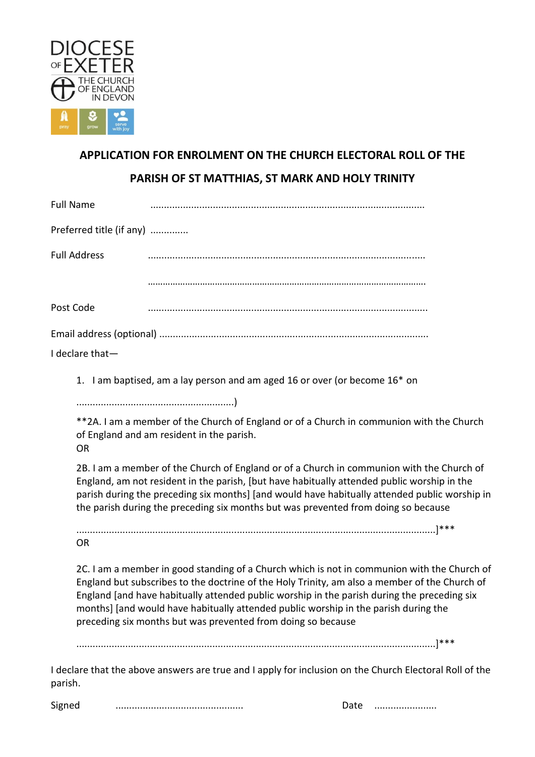

## **APPLICATION FOR ENROLMENT ON THE CHURCH ELECTORAL ROLL OF THE PARISH OF ST MATTHIAS, ST MARK AND HOLY TRINITY**

| <b>Full Name</b>                                                                                                                                                                                                                                                                                                                                                                                                                                   |                                                                                                                                       |
|----------------------------------------------------------------------------------------------------------------------------------------------------------------------------------------------------------------------------------------------------------------------------------------------------------------------------------------------------------------------------------------------------------------------------------------------------|---------------------------------------------------------------------------------------------------------------------------------------|
| Preferred title (if any)                                                                                                                                                                                                                                                                                                                                                                                                                           |                                                                                                                                       |
| <b>Full Address</b>                                                                                                                                                                                                                                                                                                                                                                                                                                |                                                                                                                                       |
|                                                                                                                                                                                                                                                                                                                                                                                                                                                    |                                                                                                                                       |
| Post Code                                                                                                                                                                                                                                                                                                                                                                                                                                          |                                                                                                                                       |
|                                                                                                                                                                                                                                                                                                                                                                                                                                                    |                                                                                                                                       |
| I declare that-                                                                                                                                                                                                                                                                                                                                                                                                                                    |                                                                                                                                       |
|                                                                                                                                                                                                                                                                                                                                                                                                                                                    | 1. I am baptised, am a lay person and am aged 16 or over (or become 16 <sup>*</sup> on                                                |
|                                                                                                                                                                                                                                                                                                                                                                                                                                                    |                                                                                                                                       |
| <b>OR</b>                                                                                                                                                                                                                                                                                                                                                                                                                                          | **2A. I am a member of the Church of England or of a Church in communion with the Church<br>of England and am resident in the parish. |
| 2B. I am a member of the Church of England or of a Church in communion with the Church of<br>England, am not resident in the parish, [but have habitually attended public worship in the<br>parish during the preceding six months] [and would have habitually attended public worship in<br>the parish during the preceding six months but was prevented from doing so because                                                                    |                                                                                                                                       |
|                                                                                                                                                                                                                                                                                                                                                                                                                                                    |                                                                                                                                       |
| <b>OR</b>                                                                                                                                                                                                                                                                                                                                                                                                                                          |                                                                                                                                       |
| 2C. I am a member in good standing of a Church which is not in communion with the Church of<br>England but subscribes to the doctrine of the Holy Trinity, am also a member of the Church of<br>England [and have habitually attended public worship in the parish during the preceding six<br>months] [and would have habitually attended public worship in the parish during the<br>preceding six months but was prevented from doing so because |                                                                                                                                       |
|                                                                                                                                                                                                                                                                                                                                                                                                                                                    |                                                                                                                                       |
| I declare that the above answers are true and I apply for inclusion on the Church Electoral Roll of the<br>parish.                                                                                                                                                                                                                                                                                                                                 |                                                                                                                                       |

Signed ............................................... Date .......................